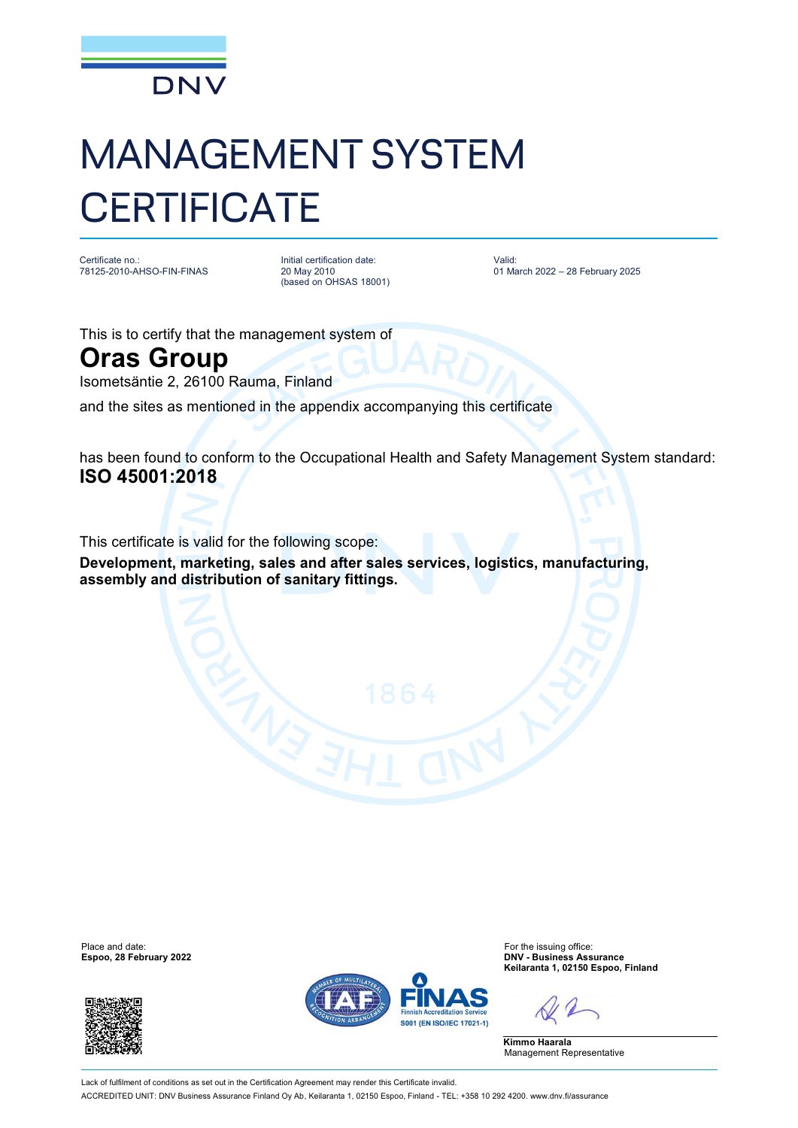

## MANAGEMENT SYSTEM **CERTIFICATE**

Certificate no.: 78125-2010-AHSO-FIN-FINAS Initial certification date: 20 May 2010 (based on OHSAS 18001) Valid: 01 March 2022 – 28 February 2025

This is to certify that the management system of

## **Oras Group**

Isometsäntie 2, 26100 Rauma, Finland

and the sites as mentioned in the appendix accompanying this certificate

has been found to conform to the Occupational Health and Safety Management System standard: **ISO 45001:2018**

This certificate is valid for the following scope:

**Development, marketing, sales and after sales services, logistics, manufacturing, assembly and distribution of sanitary fittings.**

**Espoo, 28 February 2022** 





Place and date:<br> **Expoo, 28 February 2022**<br> **Expoo, 28 February 2022**<br> **Expoo, 28 February 2022 Keilaranta 1, 02150 Espoo, Finland**

**Kimmo Haarala** Management Representative

Lack of fulfilment of conditions as set out in the Certification Agreement may render this Certificate invalid. ACCREDITED UNIT: DNV Business Assurance Finland Oy Ab, Keilaranta 1, 02150 Espoo, Finland - TEL: +358 10 292 4200. [www.dnv.fi/assurance](http://www.dnv.fi/assurance)